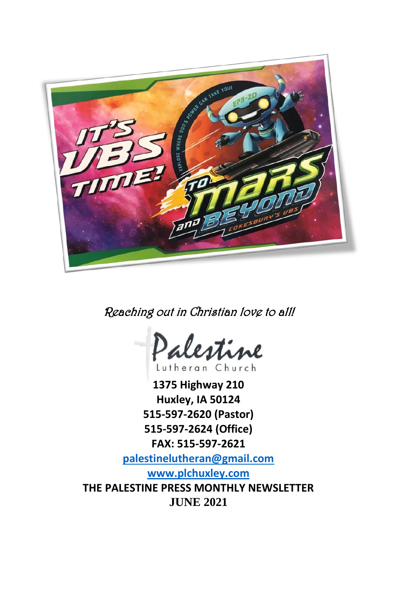

Reaching out in Christian love to all!



**1375 Highway 210 Huxley, IA 50124 515-597-2620 (Pastor) 515-597-2624 (Office) FAX: 515-597-2621 [palestinelutheran@gmail.com](mailto:palestinelutheran@gmail.com) [www.plchuxley.com](http://www.plchuxley.com/) THE PALESTINE PRESS MONTHLY NEWSLETTER JUNE 2021**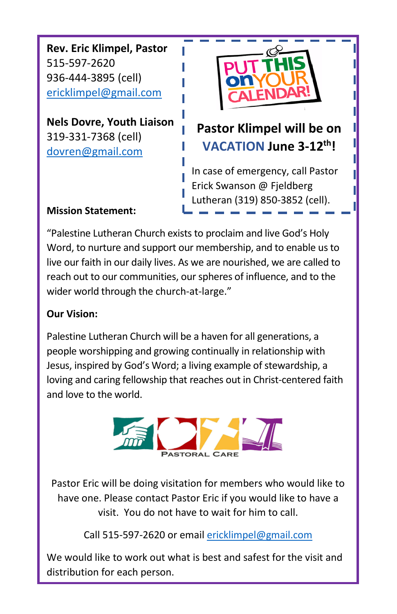**Rev. Eric Klimpel, Pastor** 515-597-2620 936-444-3895 (cell) [ericklimpel@gmail.com](mailto:ericklimpel@gmail.com)

**Nels Dovre, Youth Liaison** 319-331-7368 (cell) [dovren@gmail.com](mailto:dovren@gmail.com)



# **Pastor Klimpel will be on VACATION June 3-12th!**

In case of emergency, call Pastor Erick Swanson @ Fjeldberg Lutheran (319) 850-3852 (cell).

### **Mission Statement:**

"Palestine Lutheran Church exists to proclaim and live God's Holy Word, to nurture and support our membership, and to enable us to live our faith in our daily lives. As we are nourished, we are called to reach out to our communities, our spheres of influence, and to the wider world through the church-at-large."

## **Our Vision:**

Palestine Lutheran Church will be a haven for all generations, a people worshipping and growing continually in relationship with Jesus, inspired by God's Word; a living example of stewardship, a loving and caring fellowship that reaches out in Christ-centered faith and love to the world.



Pastor Eric will be doing visitation for members who would like to have one. Please contact Pastor Eric if you would like to have a visit. You do not have to wait for him to call.

Call 515-597-2620 or emai[l ericklimpel@gmail.com](mailto:ericklimpel@gmail.com)

We would like to work out what is best and safest for the visit and distribution for each person.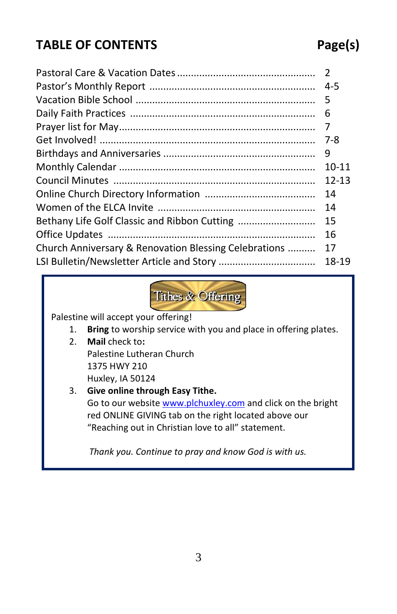# **TABLE OF CONTENTS Page(s)**

## Pastoral Care & Vacation Dates.................................................. 2 Pastor's Monthly Report ............................................................ 4-5 Vacation Bible School ................................................................. 5 Daily Faith Practices ................................................................... 6 Prayer list for May....................................................................... 7 Get Involved! .............................................................................. 7-8 Birthdays and Anniversaries ....................................................... 9 Monthly Calendar ....................................................................... 10-11 Council Minutes ......................................................................... 12-13 Online Church Directory Information ........................................ 14 Women of the ELCA Invite ......................................................... 14 Bethany Life Golf Classic and Ribbon Cutting ............................ 15 Office Updates ........................................................................... 16 Church Anniversary & Renovation Blessing Celebrations .......... 17 LSI Bulletin/Newsletter Article and Story ................................... 18-19



Palestine will accept your offering!

- 1. **Bring** to worship service with you and place in offering plates.
- 2. **Mail** check to**:** Palestine Lutheran Church 1375 HWY 210
	- Huxley, IA 50124

#### 3. **Give online through Easy Tithe.**

Go to our website [www.plchuxley.com](http://www.plchuxley.com/) and click on the bright red ONLINE GIVING tab on the right located above our "Reaching out in Christian love to all" statement.

*Thank you. Continue to pray and know God is with us.*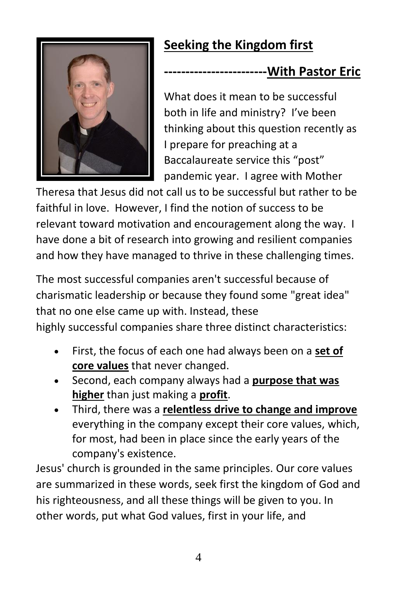# **Seeking the Kingdom first**

## **-With Pastor Eric**

What does it mean to be successful both in life and ministry? I've been thinking about this question recently as I prepare for preaching at a Baccalaureate service this "post" pandemic year. I agree with Mother

Theresa that Jesus did not call us to be successful but rather to be faithful in love. However, I find the notion of success to be relevant toward motivation and encouragement along the way. I have done a bit of research into growing and resilient companies and how they have managed to thrive in these challenging times.

The most successful companies aren't successful because of charismatic leadership or because they found some "great idea" that no one else came up with. Instead, these highly successful companies share three distinct characteristics:

- First, the focus of each one had always been on a **set of core values** that never changed.
- Second, each company always had a **purpose that was higher** than just making a **profit**.
- Third, there was a **relentless drive to change and improve** everything in the company except their core values, which, for most, had been in place since the early years of the company's existence.

Jesus' church is grounded in the same principles. Our core values are summarized in these words, seek first the kingdom of God and his righteousness, and all these things will be given to you. In other words, put what God values, first in your life, and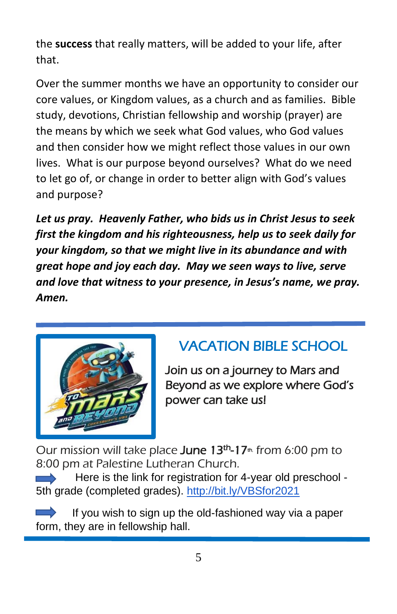the **success** that really matters, will be added to your life, after that.

Over the summer months we have an opportunity to consider our core values, or Kingdom values, as a church and as families. Bible study, devotions, Christian fellowship and worship (prayer) are the means by which we seek what God values, who God values and then consider how we might reflect those values in our own lives. What is our purpose beyond ourselves? What do we need to let go of, or change in order to better align with God's values and purpose?

*Let us pray. Heavenly Father, who bids us in Christ Jesus to seek first the kingdom and his righteousness, help us to seek daily for your kingdom, so that we might live in its abundance and with great hope and joy each day. May we seen ways to live, serve and love that witness to your presence, in Jesus's name, we pray. Amen.*



# VACATION BIBLE SCHOOL

Join us on a journey to Mars and Beyond as we explore where God's power can take us!

Our mission will take place June 13<sup>th</sup>-17<sup>th</sup> from 6:00 pm to 8:00 pm at Palestine Lutheran Church.

Here is the link for registration for 4-year old preschool 5th grade (completed grades). <http://bit.ly/VBSfor2021>

If you wish to sign up the old-fashioned way via a paper form, they are in fellowship hall.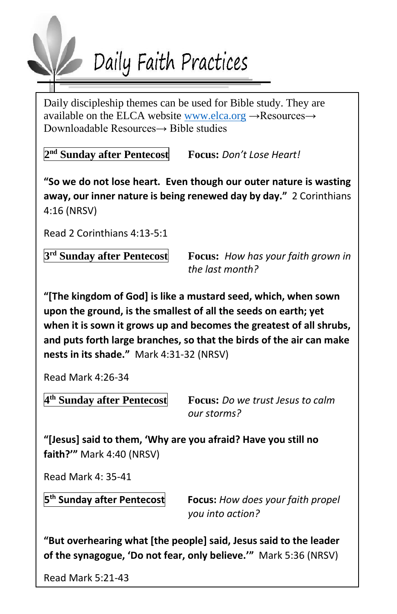

Daily discipleship themes can be used for Bible study. They are available on the ELCA website [www.elca.org](http://www.elca.org/) →Resources→ Downloadable Resources→ Bible studies

**2 nd Sunday after Pentecost Focus:** *Don't Lose Heart!*

**"So we do not lose heart. Even though our outer nature is wasting away, our inner nature is being renewed day by day."** 2 Corinthians 4:16 (NRSV)

Read 2 Corinthians 4:13-5:1

3<sup>rd</sup> Sunday after Pentecost

**Focus:** How has your faith grown in *the last month?*

**"[The kingdom of God] is like a mustard seed, which, when sown upon the ground, is the smallest of all the seeds on earth; yet when it is sown it grows up and becomes the greatest of all shrubs, and puts forth large branches, so that the birds of the air can make nests in its shade."** Mark 4:31-32 (NRSV)

Read Mark 4:26-34

4<sup>th</sup> Sunday after Pentecost

**E Superify B** *So we trust lesus to calm our storms?*

**"[Jesus] said to them, 'Why are you afraid? Have you still no faith?'"** Mark 4:40 (NRSV)

Read Mark 4: 35-41

5<sup>th</sup> Sunday after Pentecost

**Focus:** How does your faith propel *you into action?*

6 **of the synagogue, 'Do not fear, only believe.'"** Mark 5:36 (NRSV) **"But overhearing what [the people] said, Jesus said to the leader** 

Read Mark 5:21-43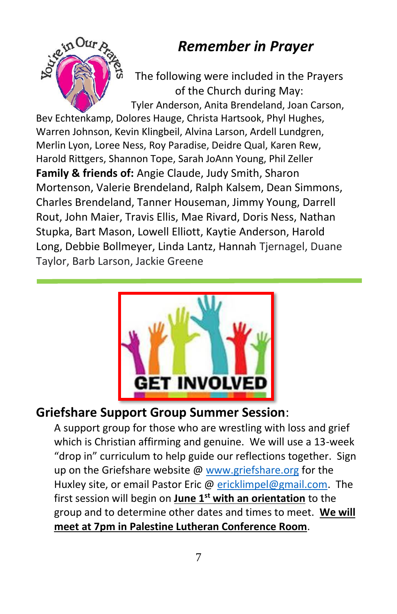# *Remember in Prayer*



The following were included in the Prayers of the Church during May: Tyler Anderson, Anita Brendeland, Joan Carson,

Bev Echtenkamp, Dolores Hauge, Christa Hartsook, Phyl Hughes, Warren Johnson, Kevin Klingbeil, Alvina Larson, Ardell Lundgren, Merlin Lyon, Loree Ness, Roy Paradise, Deidre Qual, Karen Rew, Harold Rittgers, Shannon Tope, Sarah JoAnn Young, Phil Zeller **Family & friends of:** Angie Claude, Judy Smith, Sharon Mortenson, Valerie Brendeland, Ralph Kalsem, Dean Simmons, Charles Brendeland, Tanner Houseman, Jimmy Young, Darrell Rout, John Maier, Travis Ellis, Mae Rivard, Doris Ness, Nathan Stupka, Bart Mason, Lowell Elliott, Kaytie Anderson, Harold Long, Debbie Bollmeyer, Linda Lantz, Hannah Tjernagel, Duane Taylor, Barb Larson, Jackie Greene



## **Griefshare Support Group Summer Session**:

A support group for those who are wrestling with loss and grief which is Christian affirming and genuine. We will use a 13-week "drop in" curriculum to help guide our reflections together. Sign up on the Griefshare website @ [www.griefshare.org](http://www.griefshare.org/) for the Huxley site, or email Pastor Eric [@ ericklimpel@gmail.com.](mailto:ericklimpel@gmail.com) The first session will begin on **June 1st with an orientation** to the group and to determine other dates and times to meet. **We will meet at 7pm in Palestine Lutheran Conference Room**.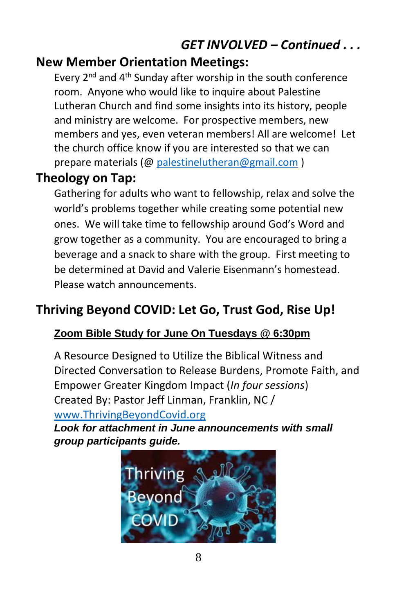# *GET INVOLVED – Continued . . .*

## **New Member Orientation Meetings:**

Every  $2^{nd}$  and  $4^{th}$  Sunday after worship in the south conference room. Anyone who would like to inquire about Palestine Lutheran Church and find some insights into its history, people and ministry are welcome. For prospective members, new members and yes, even veteran members! All are welcome! Let the church office know if you are interested so that we can prepare materials (@ [palestinelutheran@gmail.com](mailto:palestinelutheran@gmail.com))

## **Theology on Tap:**

Gathering for adults who want to fellowship, relax and solve the world's problems together while creating some potential new ones. We will take time to fellowship around God's Word and grow together as a community. You are encouraged to bring a beverage and a snack to share with the group. First meeting to be determined at David and Valerie Eisenmann's homestead. Please watch announcements.

# **Thriving Beyond COVID: Let Go, Trust God, Rise Up!**

## **Zoom Bible Study for June On Tuesdays @ 6:30pm**

A Resource Designed to Utilize the Biblical Witness and Directed Conversation to Release Burdens, Promote Faith, and Empower Greater Kingdom Impact (*In four sessions*) Created By: Pastor Jeff Linman, Franklin, NC / [www.ThrivingBeyondCovid.org](http://www.thrivingbeyondcovid.org/)

*Look for attachment in June announcements with small group participants guide.*

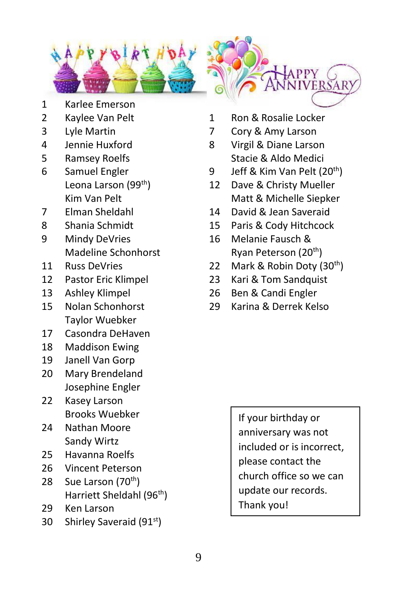

- 
- 
- 
- 
- 
- 
- 
- 
- 9 Mindy DeVries 16 Melanie Fausch &
- 
- 
- 
- Taylor Wuebker
- 17 Casondra DeHaven
- 18 Maddison Ewing
- 19 Janell Van Gorp
- 20 Mary Brendeland Josephine Engler
- 22 Kasey Larson Brooks Wuebker
- 24 Nathan Moore Sandy Wirtz
- 25 Havanna Roelfs
- 26 Vincent Peterson
- 28 Sue Larson (70<sup>th</sup>) Harriett Sheldahl (96th)
- 29 Ken Larson
- 30 Shirley Saveraid (91<sup>st</sup>)
- 2 Kaylee Van Pelt 1 Ron & Rosalie Locker
- 3 Lyle Martin 7 Cory & Amy Larson
- 4 Jennie Huxford 8 Virgil & Diane Larson 5 Ramsey Roelfs Stacie & Aldo Medici
- 6 Samuel Engler 9 Jeff & Kim Van Pelt  $(20<sup>th</sup>)$ 
	- Leona Larson (99<sup>th</sup>) 12 Dave & Christy Mueller Kim Van Pelt Matt & Michelle Siepker
- 7 Elman Sheldahl 14 David & Jean Saveraid
- 8 Shania Schmidt 15 Paris & Cody Hitchcock
	- Madeline Schonhorst Ryan Peterson (20<sup>th</sup>)
- 11 Russ DeVries 22 Mark & Robin Doty (30th)
- 12 Pastor Eric Klimpel 23 Kari & Tom Sandquist
- 13 Ashley Klimpel 26 Ben & Candi Engler
- 15 Nolan Schonhorst 29 Karina & Derrek Kelso

If your birthday or anniversary was not included or is incorrect, please contact the church office so we can update our records. Thank you!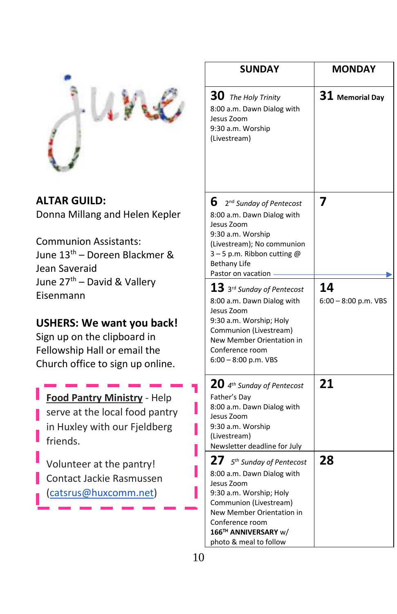

**ALTAR GUILD:**  Donna Millang and Helen Kepler

Communion Assistants: June 13th – Doreen Blackmer & Jean Saveraid June 27<sup>th</sup> – David & Vallery Eisenmann

#### **USHERS: We want you back!**

Sign up on the clipboard in Fellowship Hall or email the Church office to sign up online.

**Food Pantry Ministry** - Help serve at the local food pantry in Huxley with our Fjeldberg friends.

Volunteer at the pantry! Contact Jackie Rasmussen [\(catsrus@huxcomm.net\)](mailto:catsrus@huxcomm.net)

| <b>SUNDAY</b>                                                                                                                                                                                                                               | <b>MONDAY</b>                |  |  |
|---------------------------------------------------------------------------------------------------------------------------------------------------------------------------------------------------------------------------------------------|------------------------------|--|--|
| $30$ The Holy Trinity<br>8:00 a.m. Dawn Dialog with<br>Jesus Zoom<br>9:30 a.m. Worship<br>(Livestream)                                                                                                                                      | $\bf{31}$ Memorial Day       |  |  |
| 6.<br>2 <sup>nd</sup> Sunday of Pentecost<br>8:00 a.m. Dawn Dialog with<br>Jesus Zoom<br>9:30 a.m. Worship<br>(Livestream); No communion<br>$3 - 5$ p.m. Ribbon cutting @<br><b>Bethany Life</b><br>Pastor on vacation                      | 7                            |  |  |
| ${\bf 13}$ 3rd Sunday of Pentecost<br>8:00 a.m. Dawn Dialog with<br>Jesus Zoom<br>9:30 a.m. Worship; Holy<br>Communion (Livestream)<br>New Member Orientation in<br>Conference room<br>6:00 - 8:00 p.m. VBS                                 | 14<br>$6:00 - 8:00$ p.m. VBS |  |  |
| $20$ 4 <sup>th</sup> Sunday of Pentecost<br>Father's Day<br>8:00 a.m. Dawn Dialog with<br>Jesus Zoom<br>9:30 a.m. Worship<br>(Livestream)<br>Newsletter deadline for July                                                                   | 21                           |  |  |
| 27<br>5 <sup>th</sup> Sunday of Pentecost<br>8:00 a.m. Dawn Dialog with<br>Jesus Zoom<br>9:30 a.m. Worship; Holy<br>Communion (Livestream)<br>New Member Orientation in<br>Conference room<br>166™ ANNIVERSARY w/<br>photo & meal to follow | 28                           |  |  |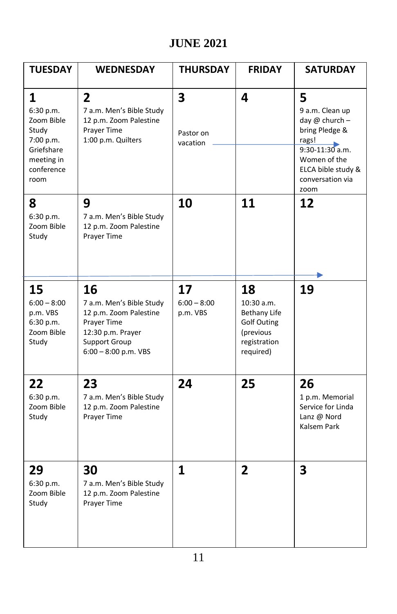## **JUNE 2021**

| <b>TUESDAY</b>                                                                                       | <b>WEDNESDAY</b>                                                                                                                               | <b>THURSDAY</b>                                  | <b>FRIDAY</b>                                                                                           | <b>SATURDAY</b>                                                                                                                                              |
|------------------------------------------------------------------------------------------------------|------------------------------------------------------------------------------------------------------------------------------------------------|--------------------------------------------------|---------------------------------------------------------------------------------------------------------|--------------------------------------------------------------------------------------------------------------------------------------------------------------|
| 1<br>6:30 p.m.<br>Zoom Bible<br>Study<br>7:00 p.m.<br>Griefshare<br>meeting in<br>conference<br>room | $\overline{2}$<br>7 a.m. Men's Bible Study<br>12 p.m. Zoom Palestine<br>Prayer Time<br>1:00 p.m. Quilters                                      | $\overline{\mathbf{3}}$<br>Pastor on<br>vacation | 4                                                                                                       | 5<br>9 a.m. Clean up<br>day $@$ church $-$<br>bring Pledge &<br>rags!<br>$9:30-11:30$ a.m.<br>Women of the<br>ELCA bible study &<br>conversation via<br>zoom |
| 8<br>6:30 p.m.<br>Zoom Bible<br>Study                                                                | 9<br>7 a.m. Men's Bible Study<br>12 p.m. Zoom Palestine<br>Prayer Time                                                                         | 10                                               | 11                                                                                                      | 12                                                                                                                                                           |
| 15<br>$6:00 - 8:00$<br>p.m. VBS<br>6:30 p.m.<br>Zoom Bible<br>Study                                  | 16<br>7 a.m. Men's Bible Study<br>12 p.m. Zoom Palestine<br>Prayer Time<br>12:30 p.m. Prayer<br><b>Support Group</b><br>$6:00 - 8:00$ p.m. VBS | 17<br>$6:00 - 8:00$<br>p.m. VBS                  | 18<br>10:30 a.m.<br><b>Bethany Life</b><br><b>Golf Outing</b><br>(previous<br>registration<br>required) | 19                                                                                                                                                           |
| 22<br>6:30 p.m.<br>Zoom Bible<br>Study                                                               | 23<br>7 a.m. Men's Bible Study<br>12 p.m. Zoom Palestine<br>Prayer Time                                                                        | 24                                               | 25                                                                                                      | 26<br>1 p.m. Memorial<br>Service for Linda<br>Lanz @ Nord<br>Kalsem Park                                                                                     |
| 29<br>6:30 p.m.<br>Zoom Bible<br>Study                                                               | 30<br>7 a.m. Men's Bible Study<br>12 p.m. Zoom Palestine<br>Prayer Time                                                                        | $\mathbf{1}$                                     | $\overline{2}$                                                                                          | 3                                                                                                                                                            |

l,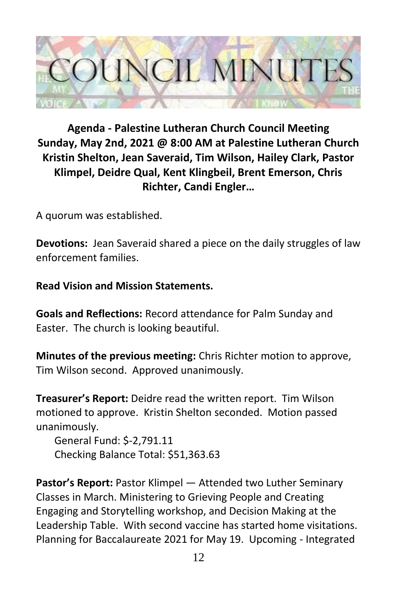

## **Agenda - Palestine Lutheran Church Council Meeting Sunday, May 2nd, 2021 @ 8:00 AM at Palestine Lutheran Church Kristin Shelton, Jean Saveraid, Tim Wilson, Hailey Clark, Pastor Klimpel, Deidre Qual, Kent Klingbeil, Brent Emerson, Chris Richter, Candi Engler…**

A quorum was established.

**Devotions:** Jean Saveraid shared a piece on the daily struggles of law enforcement families.

#### **Read Vision and Mission Statements.**

**Goals and Reflections:** Record attendance for Palm Sunday and Easter. The church is looking beautiful.

**Minutes of the previous meeting:** Chris Richter motion to approve, Tim Wilson second. Approved unanimously.

**Treasurer's Report:** Deidre read the written report. Tim Wilson motioned to approve. Kristin Shelton seconded. Motion passed unanimously.

 General Fund: \$-2,791.11 Checking Balance Total: \$51,363.63

**Pastor's Report:** Pastor Klimpel — Attended two Luther Seminary Classes in March. Ministering to Grieving People and Creating Engaging and Storytelling workshop, and Decision Making at the Leadership Table. With second vaccine has started home visitations. Planning for Baccalaureate 2021 for May 19. Upcoming - Integrated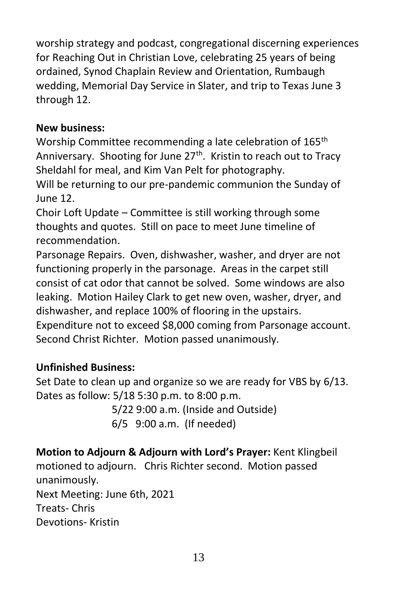worship strategy and podcast, congregational discerning experiences for Reaching Out in Christian Love, celebrating 25 years of being ordained, Synod Chaplain Review and Orientation, Rumbaugh wedding, Memorial Day Service in Slater, and trip to Texas June 3 through 12.

#### **New business:**

Worship Committee recommending a late celebration of 165<sup>th</sup> Anniversary. Shooting for June  $27<sup>th</sup>$ . Kristin to reach out to Tracy Sheldahl for meal, and Kim Van Pelt for photography.

Will be returning to our pre-pandemic communion the Sunday of June 12.

Choir Loft Update – Committee is still working through some thoughts and quotes. Still on pace to meet June timeline of recommendation.

Parsonage Repairs. Oven, dishwasher, washer, and dryer are not functioning properly in the parsonage. Areas in the carpet still consist of cat odor that cannot be solved. Some windows are also leaking. Motion Hailey Clark to get new oven, washer, dryer, and dishwasher, and replace 100% of flooring in the upstairs.

Expenditure not to exceed \$8,000 coming from Parsonage account. Second Christ Richter. Motion passed unanimously.

#### **Unfinished Business:**

Set Date to clean up and organize so we are ready for VBS by 6/13. Dates as follow: 5/18 5:30 p.m. to 8:00 p.m.

> 5/22 9:00 a.m. (Inside and Outside) 6/5 9:00 a.m. (If needed)

**Motion to Adjourn & Adjourn with Lord's Prayer:** Kent Klingbeil motioned to adjourn. Chris Richter second. Motion passed unanimously.

Next Meeting: June 6th, 2021 Treats- Chris Devotions- Kristin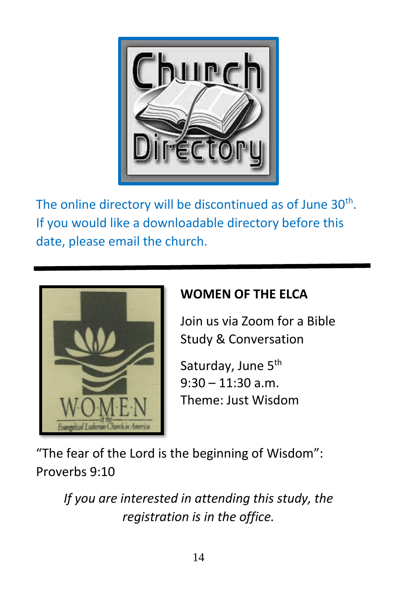

The online directory will be discontinued as of June  $30<sup>th</sup>$ . If you would like a downloadable directory before this date, please email the church.



# **WOMEN OF THE ELCA**

Join us via Zoom for a Bible Study & Conversation

Saturday, June 5<sup>th</sup>  $9:30 - 11:30$  a.m. Theme: Just Wisdom

"The fear of the Lord is the beginning of Wisdom": Proverbs 9:10

*If you are interested in attending this study, the registration is in the office.*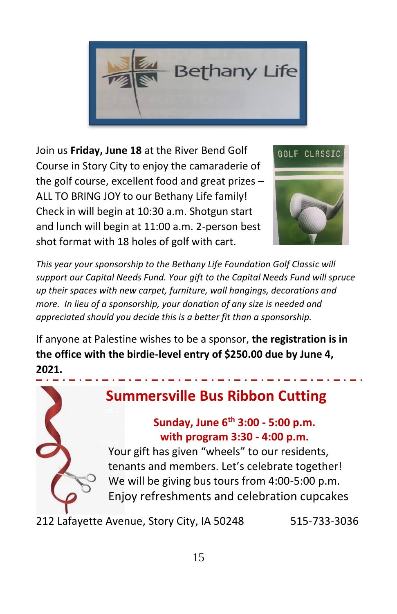

Join us **Friday, June 18** at the River Bend Golf Course in Story City to enjoy the camaraderie of the golf course, excellent food and great prizes – ALL TO BRING JOY to our Bethany Life family! Check in will begin at 10:30 a.m. Shotgun start and lunch will begin at 11:00 a.m. 2-person best shot format with 18 holes of golf with cart.



*This year your sponsorship to the Bethany Life Foundation Golf Classic will support our Capital Needs Fund. Your gift to the Capital Needs Fund will spruce up their spaces with new carpet, furniture, wall hangings, decorations and more. In lieu of a sponsorship, your donation of any size is needed and appreciated should you decide this is a better fit than a sponsorship.* 

If anyone at Palestine wishes to be a sponsor, **the registration is in the office with the birdie-level entry of \$250.00 due by June 4, 2021.**



212 Lafayette Avenue, Story City, IA 50248 515-733-3036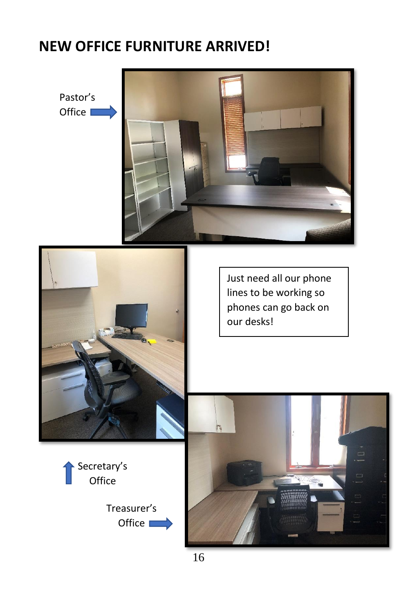# ,**NEW OFFICE FURNITURE ARRIVED!**

Pastor's Office  $\square$ 





Just need all our phone lines to be working so phones can go back on our desks!



Treasurer's Office  $\blacksquare$ 

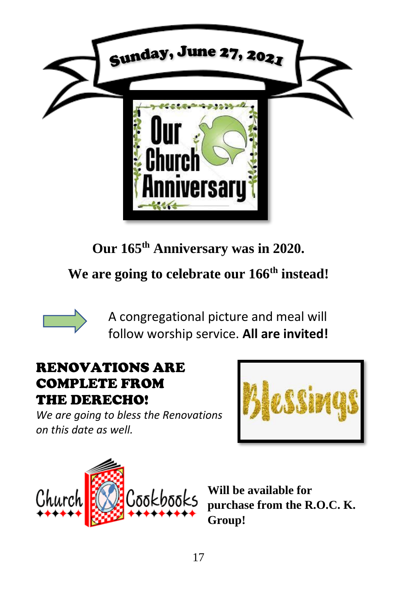

**Our 165th Anniversary was in 2020.** 

**We are going to celebrate our 166th instead!** 



A congregational picture and meal will follow worship service. **All are invited!** 

## RENOVATIONS ARE COMPLETE FROM THE DERECHO!

*We are going to bless the Renovations on this date as well.*





**Will be available for purchase from the R.O.C. K. Group!**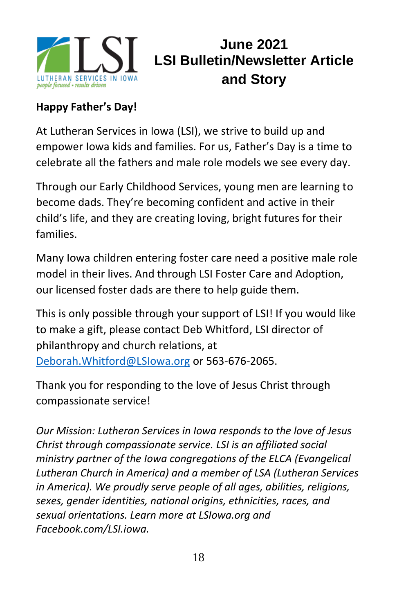

# **June 2021 LSI Bulletin/Newsletter Article and Story**

## **Happy Father's Day!**

At Lutheran Services in Iowa (LSI), we strive to build up and empower Iowa kids and families. For us, Father's Day is a time to celebrate all the fathers and male role models we see every day.

Through our Early Childhood Services, young men are learning to become dads. They're becoming confident and active in their child's life, and they are creating loving, bright futures for their families.

Many Iowa children entering foster care need a positive male role model in their lives. And through LSI Foster Care and Adoption, our licensed foster dads are there to help guide them.

This is only possible through your support of LSI! If you would like to make a gift, please contact Deb Whitford, LSI director of philanthropy and church relations, at [Deborah.Whitford@LSIowa.org](mailto:Deborah.Whitford@LSIowa.org) or 563-676-2065.

Thank you for responding to the love of Jesus Christ through compassionate service!

*Our Mission: Lutheran Services in Iowa responds to the love of Jesus Christ through compassionate service. LSI is an affiliated social ministry partner of the Iowa congregations of the ELCA (Evangelical Lutheran Church in America) and a member of LSA (Lutheran Services in America). We proudly serve people of all ages, abilities, religions, sexes, gender identities, national origins, ethnicities, races, and sexual orientations. Learn more at [LSIowa.org](http://www.lsiowa.org/) and [Facebook.com/LSI.iowa.](http://www.facebook.com/LSI.iowa)*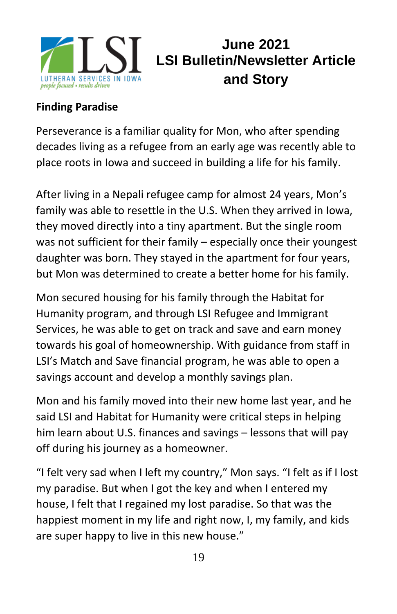

# **June 2021 LSI Bulletin/Newsletter Article and Story**

## **Finding Paradise**

Perseverance is a familiar quality for Mon, who after spending decades living as a refugee from an early age was recently able to place roots in Iowa and succeed in building a life for his family.

After living in a Nepali refugee camp for almost 24 years, Mon's family was able to resettle in the U.S. When they arrived in Iowa, they moved directly into a tiny apartment. But the single room was not sufficient for their family – especially once their youngest daughter was born. They stayed in the apartment for four years, but Mon was determined to create a better home for his family.

Mon secured housing for his family through the Habitat for Humanity program, and through LSI Refugee and Immigrant Services, he was able to get on track and save and earn money towards his goal of homeownership. With guidance from staff in LSI's Match and Save financial program, he was able to open a savings account and develop a monthly savings plan.

Mon and his family moved into their new home last year, and he said LSI and Habitat for Humanity were critical steps in helping him learn about U.S. finances and savings – lessons that will pay off during his journey as a homeowner.

"I felt very sad when I left my country," Mon says. "I felt as if I lost my paradise. But when I got the key and when I entered my house, I felt that I regained my lost paradise. So that was the happiest moment in my life and right now, I, my family, and kids are super happy to live in this new house."